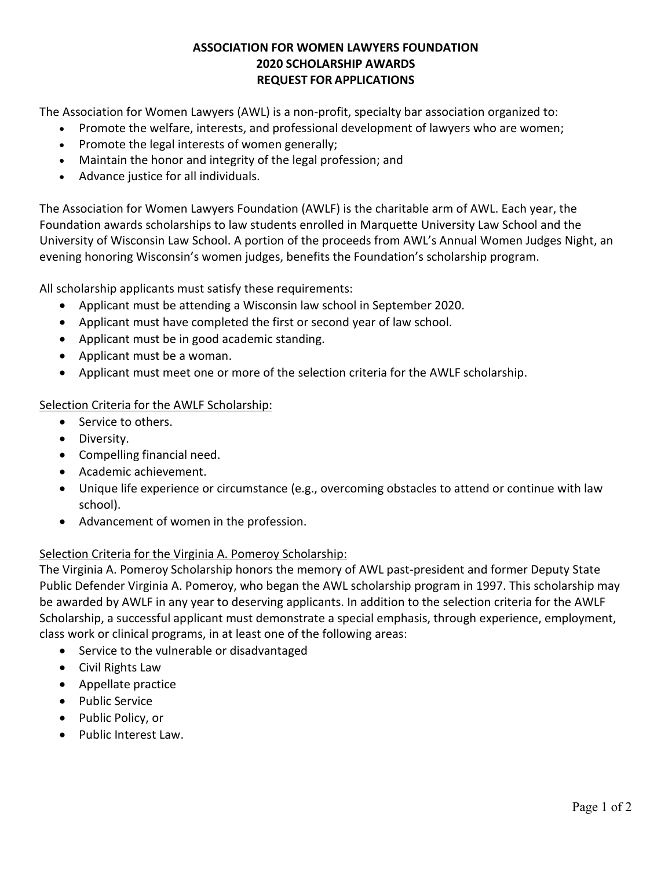# **ASSOCIATION FOR WOMEN LAWYERS FOUNDATION 2020 SCHOLARSHIP AWARDS REQUEST FOR APPLICATIONS**

The Association for Women Lawyers (AWL) is a non-profit, specialty bar association organized to:

- Promote the welfare, interests, and professional development of lawyers who are women;
- Promote the legal interests of women generally;
- Maintain the honor and integrity of the legal profession; and
- Advance justice for all individuals.

The Association for Women Lawyers Foundation (AWLF) is the charitable arm of AWL. Each year, the Foundation awards scholarships to law students enrolled in Marquette University Law School and the University of Wisconsin Law School. A portion of the proceeds from AWL's Annual Women Judges Night, an evening honoring Wisconsin's women judges, benefits the Foundation's scholarship program.

All scholarship applicants must satisfy these requirements:

- Applicant must be attending a Wisconsin law school in September 2020.
- Applicant must have completed the first or second year of law school.
- Applicant must be in good academic standing.
- Applicant must be a woman.
- Applicant must meet one or more of the selection criteria for the AWLF scholarship.

### Selection Criteria for the AWLF Scholarship:

- Service to others.
- Diversity.
- Compelling financial need.
- Academic achievement.
- Unique life experience or circumstance (e.g., overcoming obstacles to attend or continue with law school).
- Advancement of women in the profession.

### Selection Criteria for the Virginia A. Pomeroy Scholarship:

The Virginia A. Pomeroy Scholarship honors the memory of AWL past-president and former Deputy State Public Defender Virginia A. Pomeroy, who began the AWL scholarship program in 1997. This scholarship may be awarded by AWLF in any year to deserving applicants. In addition to the selection criteria for the AWLF Scholarship, a successful applicant must demonstrate a special emphasis, through experience, employment, class work or clinical programs, in at least one of the following areas:

- Service to the vulnerable or disadvantaged
- Civil Rights Law
- Appellate practice
- Public Service
- Public Policy, or
- Public Interest Law.